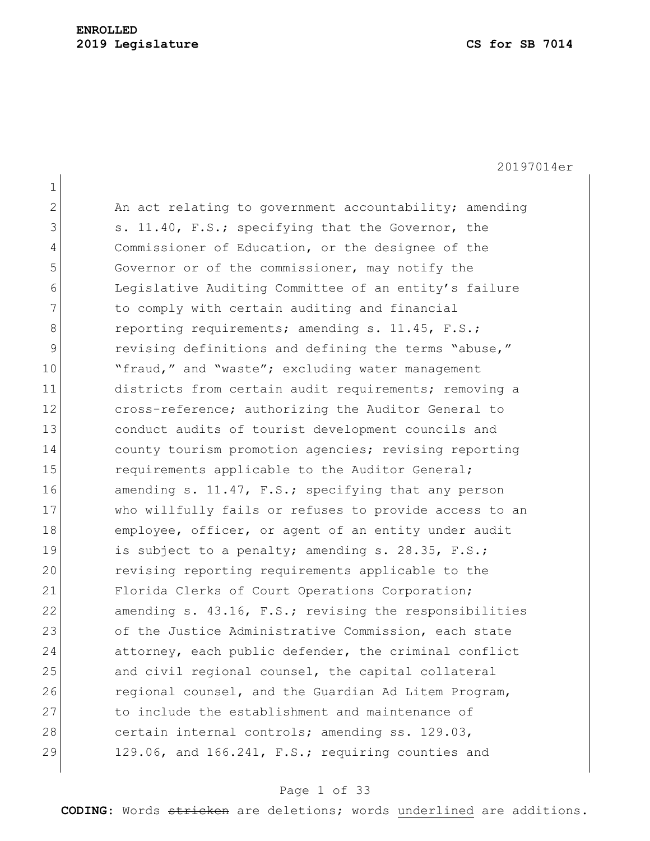### **ENROLLED 2019 Legislature CS for SB 7014**

20197014er 1  $2$  An act relating to government accountability; amending 3 s. 11.40, F.S.; specifying that the Governor, the 4 Commissioner of Education, or the designee of the 5 Governor or of the commissioner, may notify the 6 Legislative Auditing Committee of an entity's failure 7 The comply with certain auditing and financial 8 reporting requirements; amending s. 11.45, F.S.; 9 revising definitions and defining the terms "abuse," 10 The "fraud," and "waste"; excluding water management 11 districts from certain audit requirements; removing a 12 cross-reference; authorizing the Auditor General to 13 conduct audits of tourist development councils and 14 county tourism promotion agencies; revising reporting 15 requirements applicable to the Auditor General; 16 amending s. 11.47, F.S.; specifying that any person 17 who willfully fails or refuses to provide access to an 18 employee, officer, or agent of an entity under audit 19 is subject to a penalty; amending s. 28.35, F.S.; 20 revising reporting requirements applicable to the 21 Florida Clerks of Court Operations Corporation; 22 amending s. 43.16, F.S.; revising the responsibilities 23 of the Justice Administrative Commission, each state 24 attorney, each public defender, the criminal conflict 25 and civil regional counsel, the capital collateral 26 regional counsel, and the Guardian Ad Litem Program, 27 to include the establishment and maintenance of 28 certain internal controls; amending ss. 129.03,  $29$  129.06, and 166.241, F.S.; requiring counties and

#### Page 1 of 33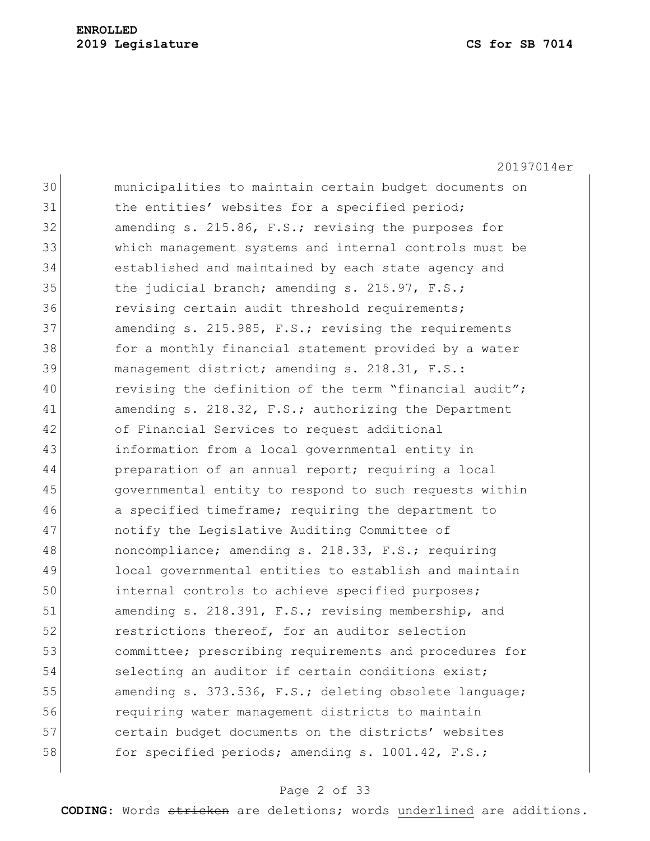20197014er 30 municipalities to maintain certain budget documents on 31 bluest and the entities' websites for a specified period; 32 amending s. 215.86, F.S.; revising the purposes for 33 which management systems and internal controls must be 34 established and maintained by each state agency and 35 the judicial branch; amending s. 215.97, F.S.; 36 revising certain audit threshold requirements; 37 amending s. 215.985, F.S.; revising the requirements 38 for a monthly financial statement provided by a water 39 management district; amending s. 218.31, F.S.: 40 revising the definition of the term "financial audit"; 41 amending s. 218.32, F.S.; authorizing the Department 42 of Financial Services to request additional 43 information from a local governmental entity in 44 preparation of an annual report; requiring a local 45 governmental entity to respond to such requests within 46 a specified timeframe; requiring the department to 47 notify the Legislative Auditing Committee of 48 noncompliance; amending s. 218.33, F.S.; requiring 49 local governmental entities to establish and maintain 50 internal controls to achieve specified purposes; 51 amending s. 218.391, F.S.; revising membership, and 52 restrictions thereof, for an auditor selection 53 committee; prescribing requirements and procedures for 54 selecting an auditor if certain conditions exist; 55 amending s. 373.536, F.S.; deleting obsolete language; 56 requiring water management districts to maintain 57 certain budget documents on the districts' websites 58 for specified periods; amending s.  $1001.42$ , F.S.;

#### Page 2 of 33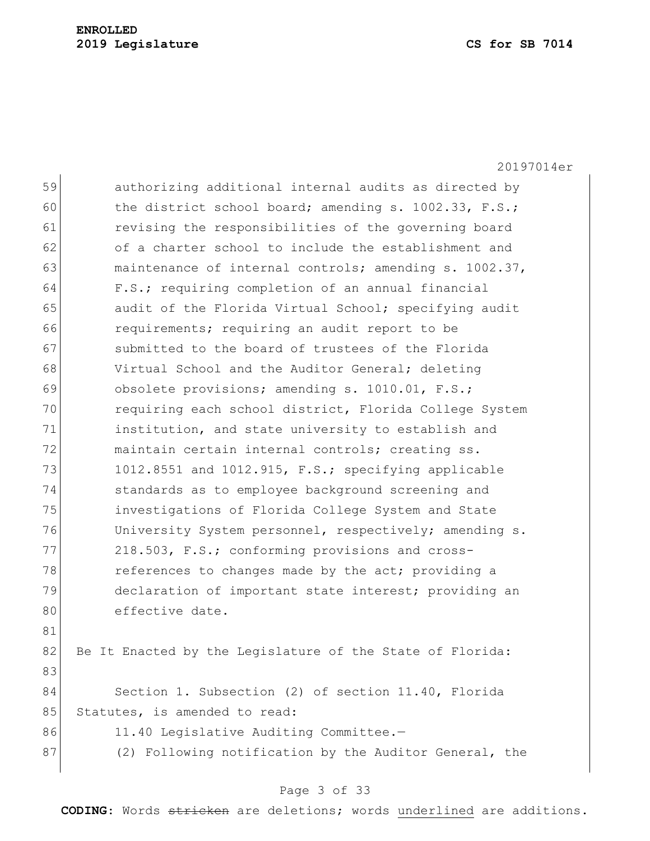|    | 20197014er                                                |
|----|-----------------------------------------------------------|
| 59 | authorizing additional internal audits as directed by     |
| 60 | the district school board; amending s. 1002.33, F.S.;     |
| 61 | revising the responsibilities of the governing board      |
| 62 | of a charter school to include the establishment and      |
| 63 | maintenance of internal controls; amending s. 1002.37,    |
| 64 | F.S.; requiring completion of an annual financial         |
| 65 | audit of the Florida Virtual School; specifying audit     |
| 66 | requirements; requiring an audit report to be             |
| 67 | submitted to the board of trustees of the Florida         |
| 68 | Virtual School and the Auditor General; deleting          |
| 69 | obsolete provisions; amending s. 1010.01, F.S.;           |
| 70 | requiring each school district, Florida College System    |
| 71 | institution, and state university to establish and        |
| 72 | maintain certain internal controls; creating ss.          |
| 73 | 1012.8551 and 1012.915, F.S.; specifying applicable       |
| 74 | standards as to employee background screening and         |
| 75 | investigations of Florida College System and State        |
| 76 | University System personnel, respectively; amending s.    |
| 77 | 218.503, F.S.; conforming provisions and cross-           |
| 78 | references to changes made by the act; providing a        |
| 79 | declaration of important state interest; providing an     |
| 80 | effective date.                                           |
| 81 |                                                           |
| 82 | Be It Enacted by the Legislature of the State of Florida: |
| 83 |                                                           |
| 84 | Section 1. Subsection (2) of section 11.40, Florida       |
| 85 | Statutes, is amended to read:                             |
| 86 | 11.40 Legislative Auditing Committee.-                    |
| 87 | (2) Following notification by the Auditor General, the    |
|    |                                                           |

# Page 3 of 33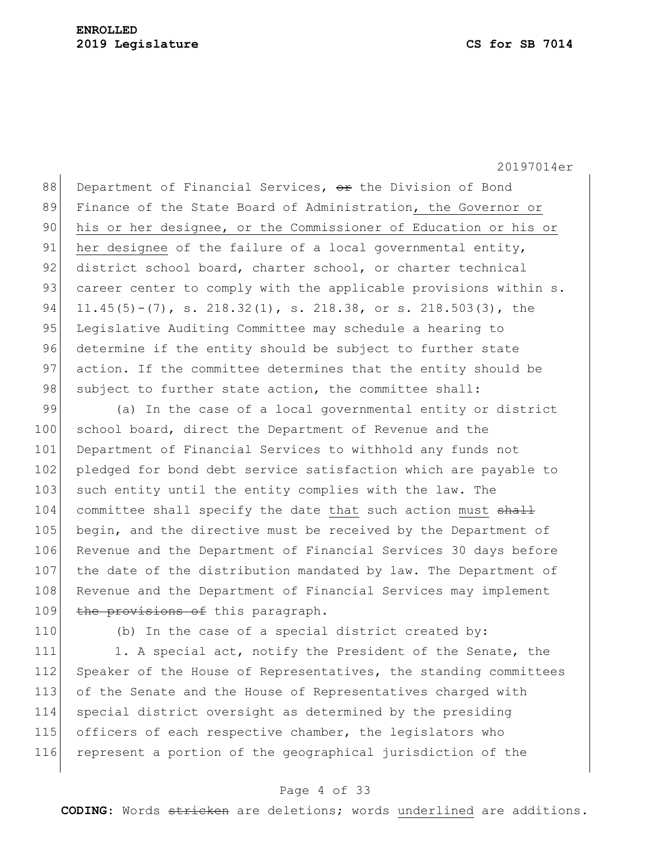88 Department of Financial Services,  $\Theta$ r the Division of Bond 89 Finance of the State Board of Administration, the Governor or 90 his or her designee, or the Commissioner of Education or his or 91 her designee of the failure of a local governmental entity, 92 district school board, charter school, or charter technical 93 career center to comply with the applicable provisions within s. 94 11.45(5)-(7), s. 218.32(1), s. 218.38, or s. 218.503(3), the 95 Legislative Auditing Committee may schedule a hearing to 96 determine if the entity should be subject to further state 97 action. If the committee determines that the entity should be 98 subject to further state action, the committee shall:

99 (a) In the case of a local governmental entity or district 100 school board, direct the Department of Revenue and the 101 Department of Financial Services to withhold any funds not 102 pledged for bond debt service satisfaction which are payable to 103 such entity until the entity complies with the law. The 104 committee shall specify the date that such action must shall 105 begin, and the directive must be received by the Department of 106 Revenue and the Department of Financial Services 30 days before 107 the date of the distribution mandated by law. The Department of 108 Revenue and the Department of Financial Services may implement 109 the provisions of this paragraph.

110 (b) In the case of a special district created by:

111 1. A special act, notify the President of the Senate, the 112 Speaker of the House of Representatives, the standing committees 113 of the Senate and the House of Representatives charged with 114 special district oversight as determined by the presiding 115 officers of each respective chamber, the legislators who 116 represent a portion of the geographical jurisdiction of the

#### Page 4 of 33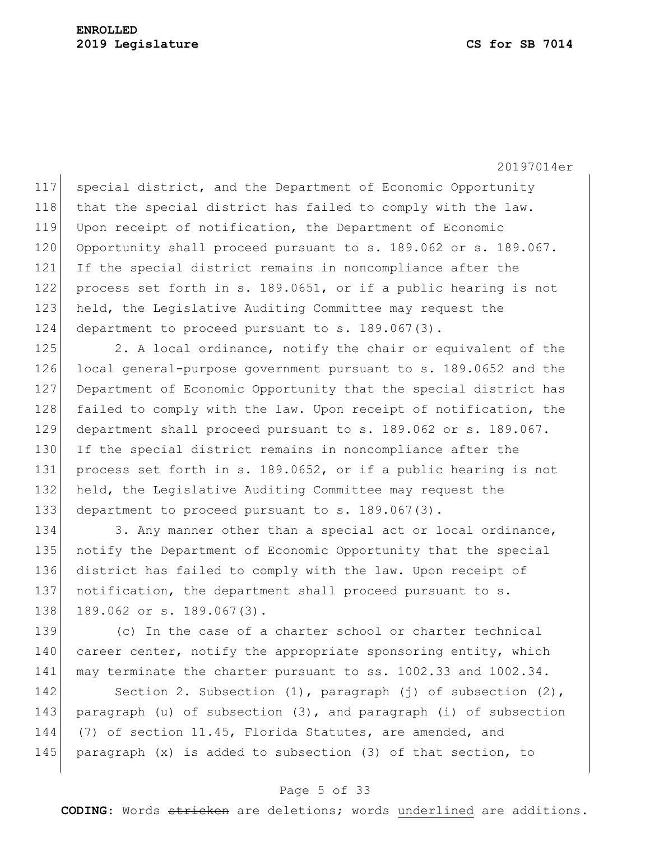117 special district, and the Department of Economic Opportunity 118 that the special district has failed to comply with the law. 119 Upon receipt of notification, the Department of Economic 120 Opportunity shall proceed pursuant to s. 189.062 or s. 189.067. 121 If the special district remains in noncompliance after the 122 process set forth in s. 189.0651, or if a public hearing is not 123 held, the Legislative Auditing Committee may request the 124 department to proceed pursuant to s. 189.067(3).

125 2. A local ordinance, notify the chair or equivalent of the 126 local general-purpose government pursuant to s. 189.0652 and the 127 Department of Economic Opportunity that the special district has 128 failed to comply with the law. Upon receipt of notification, the 129 department shall proceed pursuant to s. 189.062 or s. 189.067. 130 If the special district remains in noncompliance after the 131 process set forth in s. 189.0652, or if a public hearing is not 132 held, the Legislative Auditing Committee may request the 133 department to proceed pursuant to s. 189.067(3).

134 3. Any manner other than a special act or local ordinance, 135 notify the Department of Economic Opportunity that the special 136 district has failed to comply with the law. Upon receipt of 137 notification, the department shall proceed pursuant to s. 138 189.062 or s. 189.067(3).

139 (c) In the case of a charter school or charter technical 140 career center, notify the appropriate sponsoring entity, which 141 may terminate the charter pursuant to ss. 1002.33 and 1002.34.

142 Section 2. Subsection (1), paragraph (j) of subsection (2), 143 paragraph (u) of subsection (3), and paragraph (i) of subsection 144 (7) of section 11.45, Florida Statutes, are amended, and 145 paragraph  $(x)$  is added to subsection (3) of that section, to

### Page 5 of 33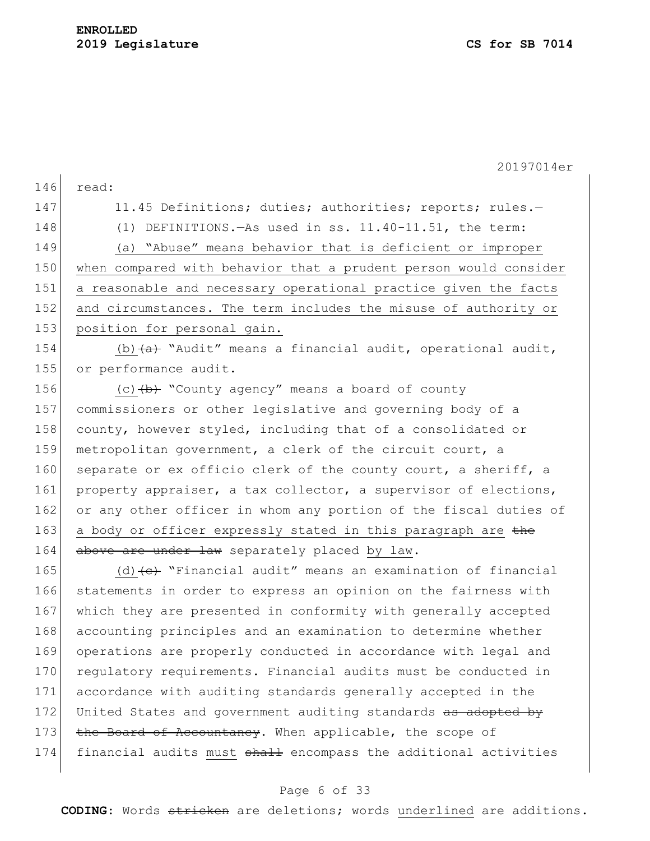20197014er 146 read: 147 11.45 Definitions; duties; authorities; reports; rules.-148 (1) DEFINITIONS.—As used in ss. 11.40-11.51, the term: 149 (a) "Abuse" means behavior that is deficient or improper 150 when compared with behavior that a prudent person would consider 151 a reasonable and necessary operational practice given the facts 152 and circumstances. The term includes the misuse of authority or 153 position for personal gain. 154 (b)  $(a)$  "Audit" means a financial audit, operational audit, 155 or performance audit. 156  $(c)$   $(b)$  "County agency" means a board of county 157 commissioners or other legislative and governing body of a 158 county, however styled, including that of a consolidated or 159 metropolitan government, a clerk of the circuit court, a 160 separate or ex officio clerk of the county court, a sheriff, a 161 property appraiser, a tax collector, a supervisor of elections, 162 or any other officer in whom any portion of the fiscal duties of 163 a body or officer expressly stated in this paragraph are the 164 above are under law separately placed by law. 165 (d)  $\left\{ \left\{ e\right\} \right\}$  "Financial audit" means an examination of financial 166 statements in order to express an opinion on the fairness with 167 which they are presented in conformity with generally accepted 168 accounting principles and an examination to determine whether 169 operations are properly conducted in accordance with legal and 170 regulatory requirements. Financial audits must be conducted in 171 accordance with auditing standards generally accepted in the 172 United States and government auditing standards as adopted by 173 the Board of Accountancy. When applicable, the scope of 174 financial audits must shall encompass the additional activities

#### Page 6 of 33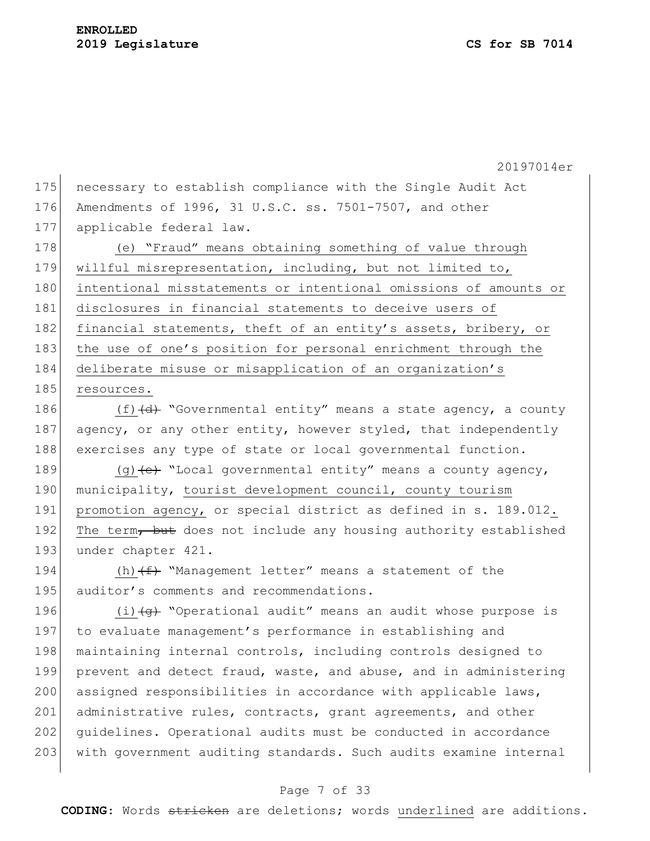20197014er 175 necessary to establish compliance with the Single Audit Act 176 Amendments of 1996, 31 U.S.C. ss. 7501-7507, and other 177 applicable federal law. 178 (e) "Fraud" means obtaining something of value through

179 | willful misrepresentation, including, but not limited to, 180 intentional misstatements or intentional omissions of amounts or 181 disclosures in financial statements to deceive users of 182 financial statements, theft of an entity's assets, bribery, or 183 the use of one's position for personal enrichment through the 184 deliberate misuse or misapplication of an organization's 185 resources.

186  $(f)$   $(d)$  "Governmental entity" means a state agency, a county 187 agency, or any other entity, however styled, that independently 188 exercises any type of state or local governmental function.

189  $(q)$  (g)  $\leftrightarrow$  "Local governmental entity" means a county agency, 190 municipality, tourist development council, county tourism 191 promotion agency, or special district as defined in s. 189.012. 192 The term, but does not include any housing authority established 193 under chapter 421.

194  $(h)$   $(f)$  "Management letter" means a statement of the 195 auditor's comments and recommendations.

196  $(i)$   $\left(49\right)$  "Operational audit" means an audit whose purpose is 197 to evaluate management's performance in establishing and 198 maintaining internal controls, including controls designed to 199 prevent and detect fraud, waste, and abuse, and in administering 200 assigned responsibilities in accordance with applicable laws, 201 administrative rules, contracts, grant agreements, and other 202 guidelines. Operational audits must be conducted in accordance 203 with government auditing standards. Such audits examine internal

#### Page 7 of 33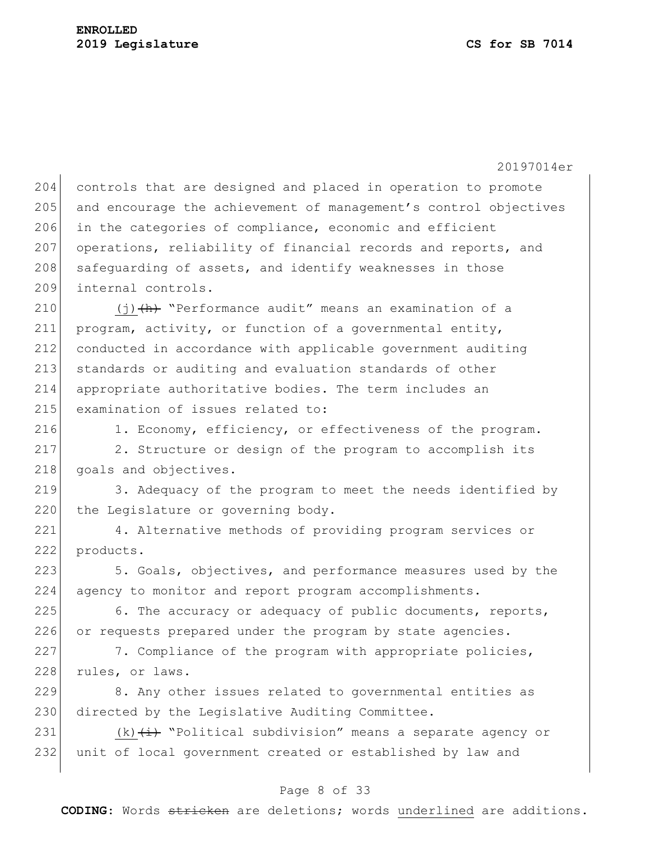204 controls that are designed and placed in operation to promote 205 and encourage the achievement of management's control objectives 206 in the categories of compliance, economic and efficient 207 operations, reliability of financial records and reports, and 208 safeguarding of assets, and identify weaknesses in those 209 internal controls.

 $(j)$   $(h)$  "Performance audit" means an examination of a program, activity, or function of a governmental entity, conducted in accordance with applicable government auditing standards or auditing and evaluation standards of other appropriate authoritative bodies. The term includes an 215 examination of issues related to:

216 1. Economy, efficiency, or effectiveness of the program.

217 2. Structure or design of the program to accomplish its 218 goals and objectives.

219 3. Adequacy of the program to meet the needs identified by 220 the Legislature or governing body.

221 4. Alternative methods of providing program services or 222 products.

223 5. Goals, objectives, and performance measures used by the 224 agency to monitor and report program accomplishments.

 $225$  6. The accuracy or adequacy of public documents, reports, 226 or requests prepared under the program by state agencies.

227 7. Compliance of the program with appropriate policies, 228 rules, or laws.

229 8. Any other issues related to governmental entities as 230 directed by the Legislative Auditing Committee.

231  $(k)$   $(i)$  "Political subdivision" means a separate agency or 232 unit of local government created or established by law and

### Page 8 of 33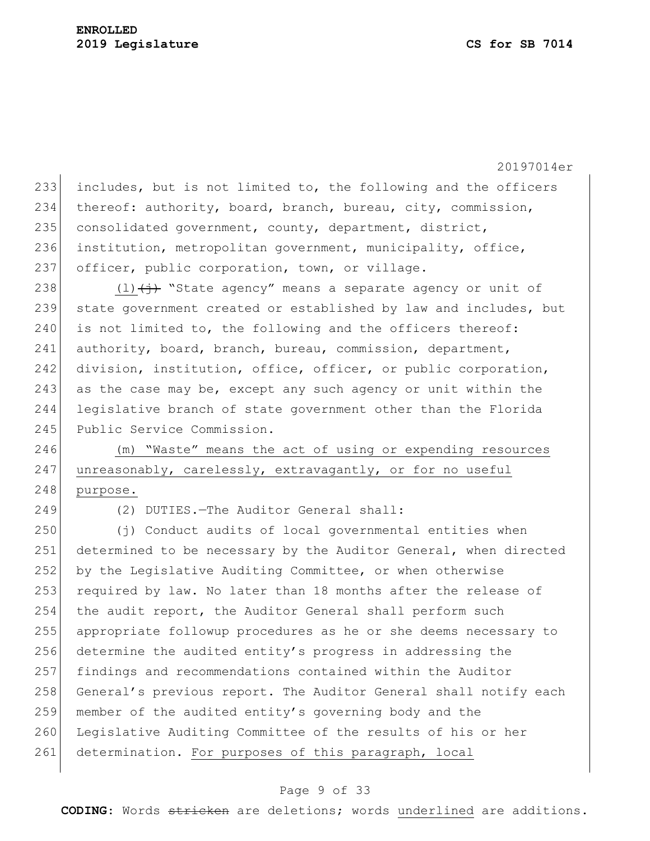233 includes, but is not limited to, the following and the officers 234 thereof: authority, board, branch, bureau, city, commission, 235 consolidated government, county, department, district, 236 institution, metropolitan government, municipality, office, 237 officer, public corporation, town, or village.

238 (1) $\leftrightarrow$  "State agency" means a separate agency or unit of 239 state government created or established by law and includes, but  $240$  is not limited to, the following and the officers thereof: 241 authority, board, branch, bureau, commission, department, 242 division, institution, office, officer, or public corporation, 243 as the case may be, except any such agency or unit within the 244 legislative branch of state government other than the Florida 245 Public Service Commission.

246 (m) "Waste" means the act of using or expending resources 247 unreasonably, carelessly, extravagantly, or for no useful 248 purpose.

249 (2) DUTIES.—The Auditor General shall:

250 (j) Conduct audits of local governmental entities when 251 determined to be necessary by the Auditor General, when directed 252 by the Legislative Auditing Committee, or when otherwise 253 required by law. No later than 18 months after the release of 254 the audit report, the Auditor General shall perform such 255 appropriate followup procedures as he or she deems necessary to 256 determine the audited entity's progress in addressing the 257 findings and recommendations contained within the Auditor 258 General's previous report. The Auditor General shall notify each 259 member of the audited entity's governing body and the 260 Legislative Auditing Committee of the results of his or her 261 determination. For purposes of this paragraph, local

#### Page 9 of 33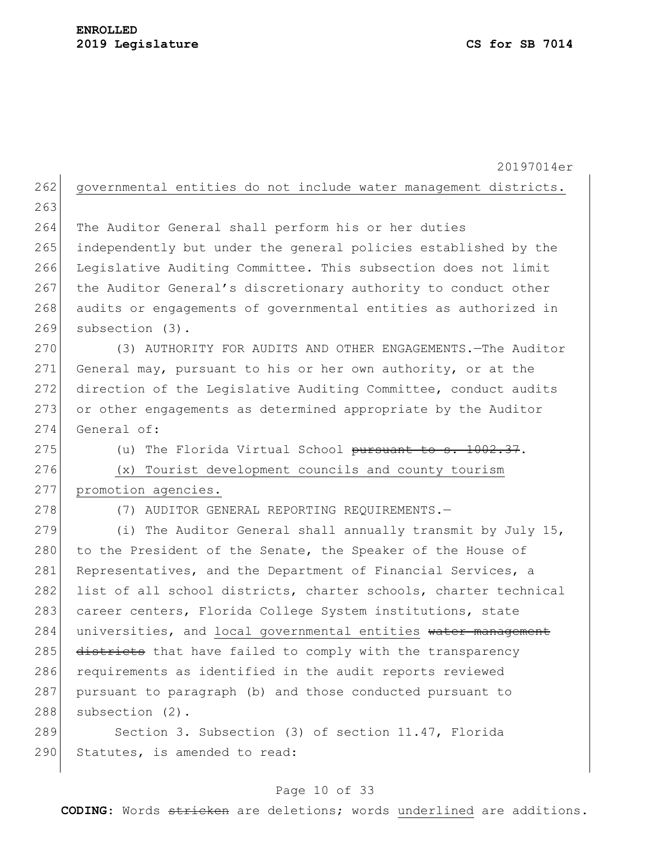### **ENROLLED 2019 Legislature CS for SB 7014**

20197014er 262 governmental entities do not include water management districts. 263 264 The Auditor General shall perform his or her duties 265 independently but under the general policies established by the 266 Legislative Auditing Committee. This subsection does not limit 267 the Auditor General's discretionary authority to conduct other 268 audits or engagements of governmental entities as authorized in 269 subsection (3). 270 (3) AUTHORITY FOR AUDITS AND OTHER ENGAGEMENTS. - The Auditor 271 General may, pursuant to his or her own authority, or at the 272 direction of the Legislative Auditing Committee, conduct audits 273 or other engagements as determined appropriate by the Auditor 274 General of: 275 (u) The Florida Virtual School pursuant to  $s. 1002.37$ . 276 (x) Tourist development councils and county tourism 277 promotion agencies. 278 (7) AUDITOR GENERAL REPORTING REQUIREMENTS. 279 (i) The Auditor General shall annually transmit by July 15, 280 to the President of the Senate, the Speaker of the House of 281 Representatives, and the Department of Financial Services, a 282 list of all school districts, charter schools, charter technical 283 career centers, Florida College System institutions, state 284 universities, and local governmental entities water management 285 districts that have failed to comply with the transparency 286 requirements as identified in the audit reports reviewed 287 pursuant to paragraph (b) and those conducted pursuant to 288 subsection (2). 289 Section 3. Subsection (3) of section 11.47, Florida 290 Statutes, is amended to read:

#### Page 10 of 33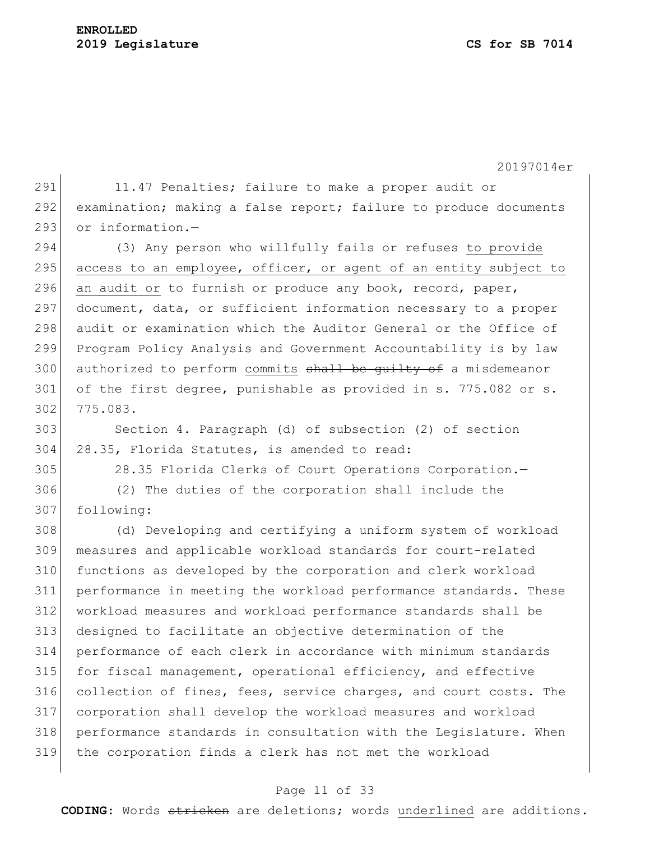291 11.47 Penalties; failure to make a proper audit or 292 examination; making a false report; failure to produce documents 293 or information.-

 (3) Any person who willfully fails or refuses to provide access to an employee, officer, or agent of an entity subject to 296 an audit or to furnish or produce any book, record, paper, document, data, or sufficient information necessary to a proper audit or examination which the Auditor General or the Office of Program Policy Analysis and Government Accountability is by law 300 authorized to perform commits shall be guilty of a misdemeanor 301 of the first degree, punishable as provided in s. 775.082 or s. 775.083.

 Section 4. Paragraph (d) of subsection (2) of section 28.35, Florida Statutes, is amended to read:

28.35 Florida Clerks of Court Operations Corporation.—

 (2) The duties of the corporation shall include the following:

 (d) Developing and certifying a uniform system of workload measures and applicable workload standards for court-related functions as developed by the corporation and clerk workload performance in meeting the workload performance standards. These workload measures and workload performance standards shall be designed to facilitate an objective determination of the performance of each clerk in accordance with minimum standards for fiscal management, operational efficiency, and effective collection of fines, fees, service charges, and court costs. The corporation shall develop the workload measures and workload performance standards in consultation with the Legislature. When the corporation finds a clerk has not met the workload

#### Page 11 of 33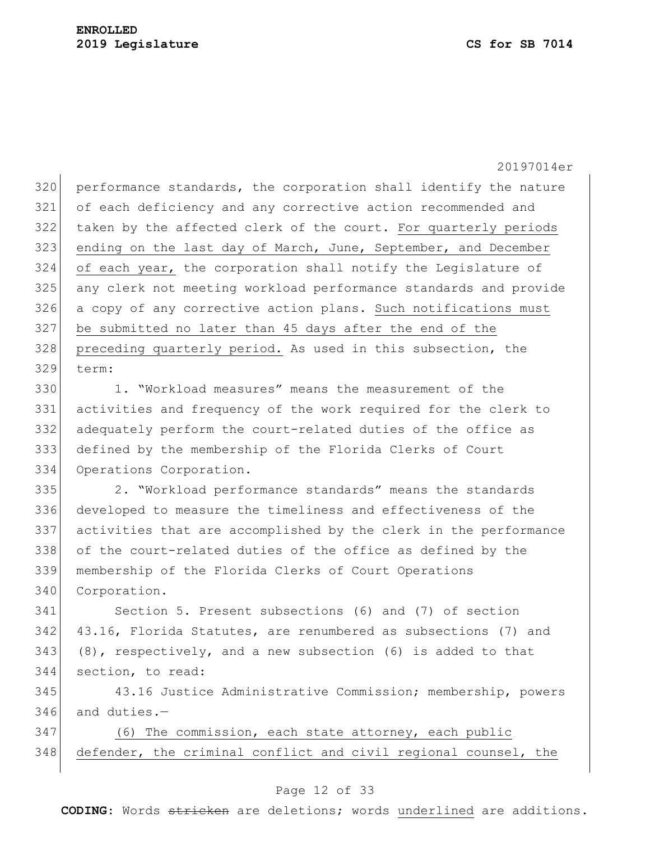320 performance standards, the corporation shall identify the nature of each deficiency and any corrective action recommended and taken by the affected clerk of the court. For quarterly periods ending on the last day of March, June, September, and December of each year, the corporation shall notify the Legislature of any clerk not meeting workload performance standards and provide a copy of any corrective action plans. Such notifications must be submitted no later than 45 days after the end of the 328 preceding quarterly period. As used in this subsection, the term:

 1. "Workload measures" means the measurement of the activities and frequency of the work required for the clerk to adequately perform the court-related duties of the office as defined by the membership of the Florida Clerks of Court Operations Corporation.

 2. "Workload performance standards" means the standards developed to measure the timeliness and effectiveness of the activities that are accomplished by the clerk in the performance of the court-related duties of the office as defined by the membership of the Florida Clerks of Court Operations 340 Corporation.

 Section 5. Present subsections (6) and (7) of section 43.16, Florida Statutes, are renumbered as subsections (7) and (8), respectively, and a new subsection (6) is added to that section, to read:

 43.16 Justice Administrative Commission; membership, powers and duties.  $-$ 

 (6) The commission, each state attorney, each public 348 defender, the criminal conflict and civil regional counsel, the

#### Page 12 of 33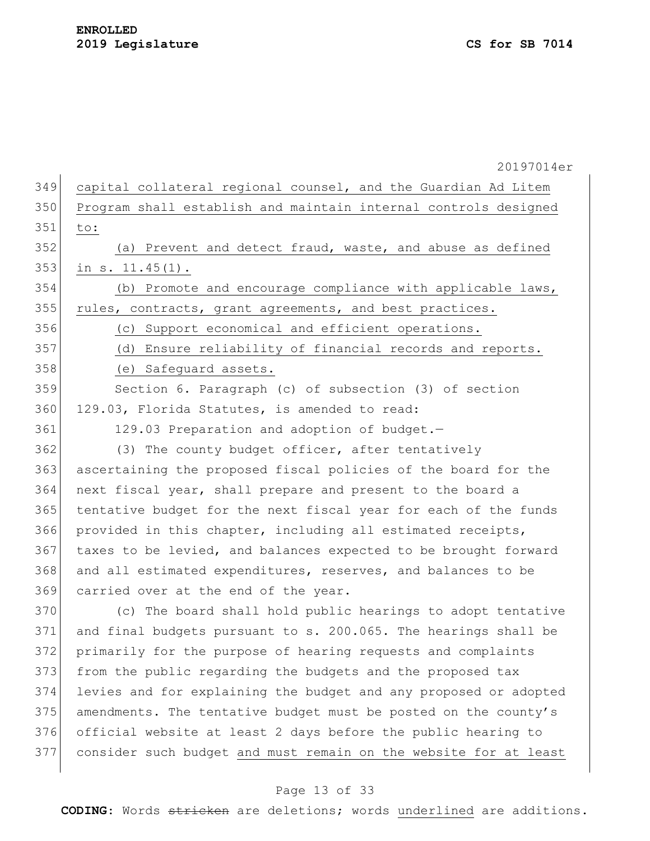|     | 20197014er                                                       |
|-----|------------------------------------------------------------------|
| 349 | capital collateral regional counsel, and the Guardian Ad Litem   |
| 350 | Program shall establish and maintain internal controls designed  |
| 351 | to:                                                              |
| 352 | (a) Prevent and detect fraud, waste, and abuse as defined        |
| 353 | in $s. 11.45(1)$ .                                               |
| 354 | (b) Promote and encourage compliance with applicable laws,       |
| 355 | rules, contracts, grant agreements, and best practices.          |
| 356 | (c) Support economical and efficient operations.                 |
| 357 | (d) Ensure reliability of financial records and reports.         |
| 358 | (e) Safeguard assets.                                            |
| 359 | Section 6. Paragraph (c) of subsection (3) of section            |
| 360 | 129.03, Florida Statutes, is amended to read:                    |
| 361 | 129.03 Preparation and adoption of budget.-                      |
| 362 | (3) The county budget officer, after tentatively                 |
| 363 | ascertaining the proposed fiscal policies of the board for the   |
| 364 | next fiscal year, shall prepare and present to the board a       |
| 365 | tentative budget for the next fiscal year for each of the funds  |
| 366 | provided in this chapter, including all estimated receipts,      |
| 367 | taxes to be levied, and balances expected to be brought forward  |
| 368 | and all estimated expenditures, reserves, and balances to be     |
| 369 | carried over at the end of the year.                             |
| 370 | (c) The board shall hold public hearings to adopt tentative      |
| 371 | and final budgets pursuant to s. 200.065. The hearings shall be  |
| 372 | primarily for the purpose of hearing requests and complaints     |
| 373 | from the public regarding the budgets and the proposed tax       |
| 374 | levies and for explaining the budget and any proposed or adopted |
| 375 | amendments. The tentative budget must be posted on the county's  |
| 376 | official website at least 2 days before the public hearing to    |
| 377 | consider such budget and must remain on the website for at least |
|     |                                                                  |

# Page 13 of 33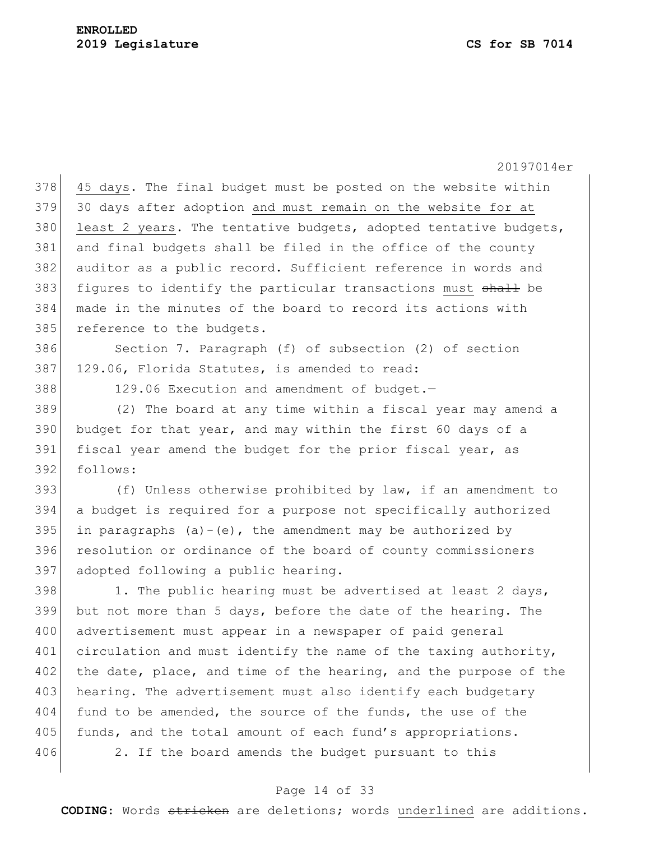20197014er  $378$  45 days. The final budget must be posted on the website within 379 30 days after adoption and must remain on the website for at 380 least 2 years. The tentative budgets, adopted tentative budgets, 381 and final budgets shall be filed in the office of the county 382 auditor as a public record. Sufficient reference in words and  $383$  figures to identify the particular transactions must  $shath$  be 384 made in the minutes of the board to record its actions with 385 reference to the budgets. 386 Section 7. Paragraph (f) of subsection (2) of section 387 129.06, Florida Statutes, is amended to read: 388 129.06 Execution and amendment of budget.-389 (2) The board at any time within a fiscal year may amend a 390 budget for that year, and may within the first 60 days of a 391 fiscal year amend the budget for the prior fiscal year, as 392 follows: 393  $( f )$  Unless otherwise prohibited by law, if an amendment to 394 a budget is required for a purpose not specifically authorized 395 in paragraphs (a)-(e), the amendment may be authorized by 396 resolution or ordinance of the board of county commissioners 397 adopted following a public hearing. 398 1. The public hearing must be advertised at least 2 days, 399 but not more than 5 days, before the date of the hearing. The 400 advertisement must appear in a newspaper of paid general 401 circulation and must identify the name of the taxing authority, 402 the date, place, and time of the hearing, and the purpose of the 403 hearing. The advertisement must also identify each budgetary 404 fund to be amended, the source of the funds, the use of the 405 funds, and the total amount of each fund's appropriations. 406 2. If the board amends the budget pursuant to this

### Page 14 of 33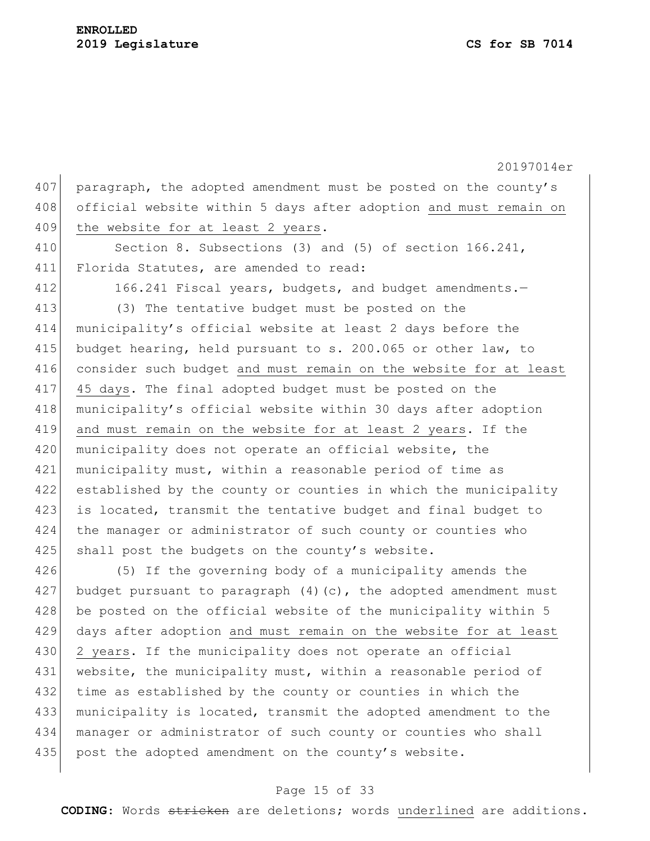20197014er 407 paragraph, the adopted amendment must be posted on the county's 408 official website within 5 days after adoption and must remain on 409 the website for at least 2 years. 410 Section 8. Subsections (3) and (5) of section 166.241, 411 Florida Statutes, are amended to read: 412 166.241 Fiscal years, budgets, and budget amendments. 413 (3) The tentative budget must be posted on the 414 municipality's official website at least 2 days before the 415 budget hearing, held pursuant to s. 200.065 or other law, to 416 consider such budget and must remain on the website for at least 417 45 days. The final adopted budget must be posted on the 418 municipality's official website within 30 days after adoption 419 and must remain on the website for at least 2 years. If the 420 municipality does not operate an official website, the 421 municipality must, within a reasonable period of time as 422 established by the county or counties in which the municipality 423 is located, transmit the tentative budget and final budget to 424 the manager or administrator of such county or counties who 425 shall post the budgets on the county's website. 426 (5) If the governing body of a municipality amends the  $427$  budget pursuant to paragraph (4)(c), the adopted amendment must 428 be posted on the official website of the municipality within 5 429 days after adoption and must remain on the website for at least 430 2 years. If the municipality does not operate an official 431 website, the municipality must, within a reasonable period of 432 time as established by the county or counties in which the

434 manager or administrator of such county or counties who shall 435 post the adopted amendment on the county's website.

433 municipality is located, transmit the adopted amendment to the

#### Page 15 of 33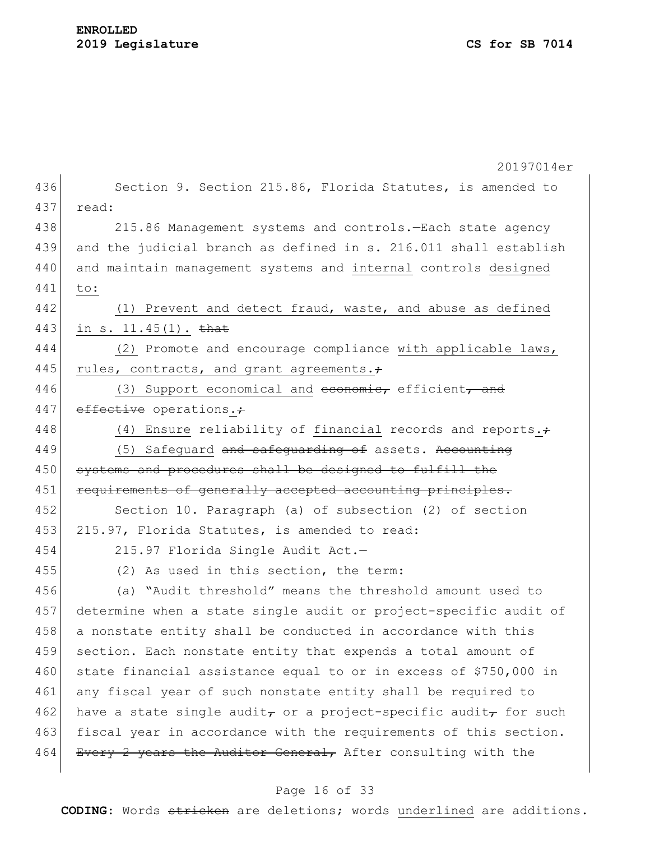## **ENROLLED 2019 Legislature CS for SB 7014**

|     | 20197014er                                                       |
|-----|------------------------------------------------------------------|
| 436 | Section 9. Section 215.86, Florida Statutes, is amended to       |
| 437 | read:                                                            |
| 438 | 215.86 Management systems and controls. - Each state agency      |
| 439 | and the judicial branch as defined in s. 216.011 shall establish |
| 440 | and maintain management systems and internal controls designed   |
| 441 | to:                                                              |
| 442 | (1) Prevent and detect fraud, waste, and abuse as defined        |
| 443 | in s. $11.45(1)$ . that                                          |
| 444 | (2) Promote and encourage compliance with applicable laws,       |
| 445 | rules, contracts, and grant agreements.;                         |
| 446 | (3) Support economical and economic, efficient, and              |
| 447 | effective operations.+                                           |
| 448 | (4) Ensure reliability of financial records and reports. $\div$  |
| 449 | (5) Safequard and safequarding of assets. Accounting             |
| 450 | systems and procedures shall be designed to fulfill the          |
| 451 | requirements of generally accepted accounting principles.        |
| 452 | Section 10. Paragraph (a) of subsection (2) of section           |
| 453 | 215.97, Florida Statutes, is amended to read:                    |
| 454 | 215.97 Florida Single Audit Act.-                                |
| 455 | (2) As used in this section, the term:                           |
| 456 | (a) "Audit threshold" means the threshold amount used to         |
| 457 | determine when a state single audit or project-specific audit of |
| 458 | a nonstate entity shall be conducted in accordance with this     |
| 459 | section. Each nonstate entity that expends a total amount of     |
| 460 | state financial assistance equal to or in excess of \$750,000 in |
| 461 | any fiscal year of such nonstate entity shall be required to     |
| 462 | have a state single audit, or a project-specific audit, for such |
| 463 | fiscal year in accordance with the requirements of this section. |
| 464 | Every 2 years the Auditor General, After consulting with the     |

# Page 16 of 33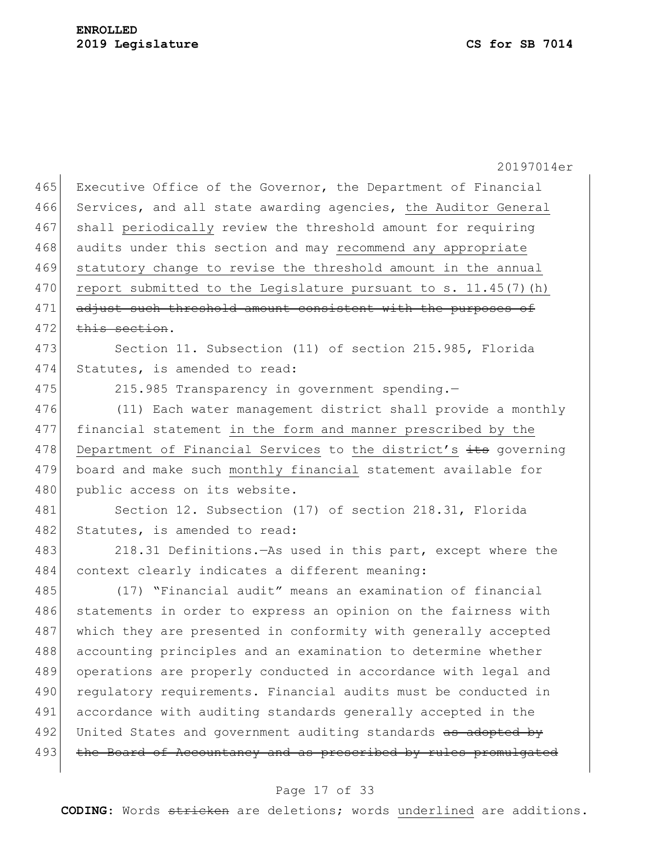20197014er 465 Executive Office of the Governor, the Department of Financial 466 Services, and all state awarding agencies, the Auditor General 467 shall periodically review the threshold amount for requiring 468 audits under this section and may recommend any appropriate 469 statutory change to revise the threshold amount in the annual 470 report submitted to the Legislature pursuant to s. 11.45(7)(h) 471 adjust such threshold amount consistent with the purposes of  $472$  this section. 473 Section 11. Subsection (11) of section 215.985, Florida 474 Statutes, is amended to read: 475 215.985 Transparency in government spending. 476 (11) Each water management district shall provide a monthly 477 financial statement in the form and manner prescribed by the 478 Department of Financial Services to the district's its governing 479 board and make such monthly financial statement available for 480 public access on its website. 481 Section 12. Subsection (17) of section 218.31, Florida 482 Statutes, is amended to read: 483 218.31 Definitions.—As used in this part, except where the 484 context clearly indicates a different meaning: 485 (17) "Financial audit" means an examination of financial 486 statements in order to express an opinion on the fairness with 487 which they are presented in conformity with generally accepted 488 accounting principles and an examination to determine whether 489 operations are properly conducted in accordance with legal and 490 requiatory requirements. Financial audits must be conducted in 491 accordance with auditing standards generally accepted in the 492 United States and government auditing standards as adopted by 493 the Board of Accountancy and as prescribed by rules promulgated

#### Page 17 of 33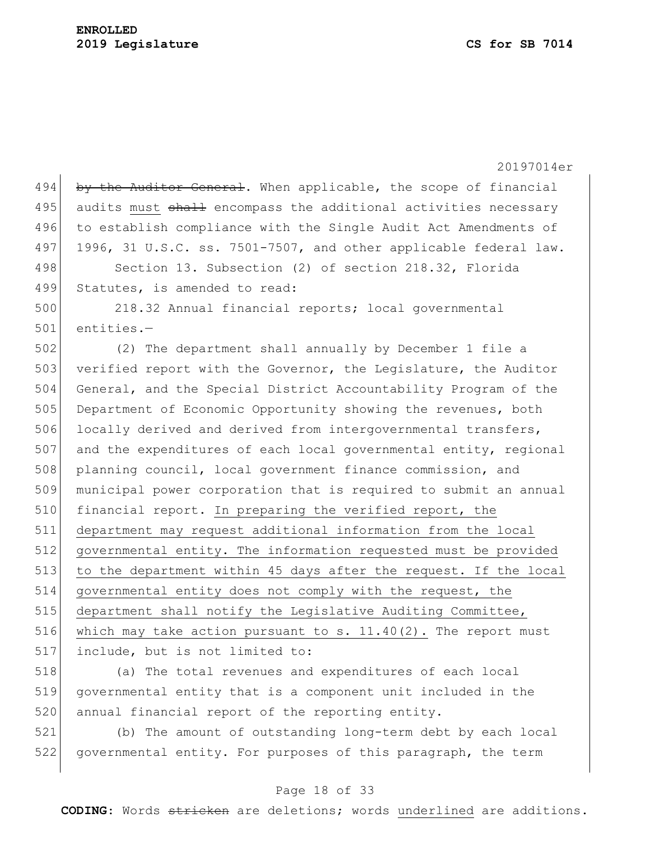20197014er 494 by the Auditor General. When applicable, the scope of financial 495 audits must shall encompass the additional activities necessary 496 to establish compliance with the Single Audit Act Amendments of 497 1996, 31 U.S.C. ss. 7501-7507, and other applicable federal law. 498 Section 13. Subsection (2) of section 218.32, Florida 499 Statutes, is amended to read: 500 218.32 Annual financial reports; local governmental 501 entities.— 502 (2) The department shall annually by December 1 file a 503 verified report with the Governor, the Legislature, the Auditor 504 General, and the Special District Accountability Program of the 505 Department of Economic Opportunity showing the revenues, both 506 locally derived and derived from intergovernmental transfers,  $507$  and the expenditures of each local governmental entity, regional 508 planning council, local government finance commission, and 509 municipal power corporation that is required to submit an annual 510 financial report. In preparing the verified report, the 511 department may request additional information from the local 512 governmental entity. The information requested must be provided 513 to the department within 45 days after the request. If the local 514 governmental entity does not comply with the request, the 515 department shall notify the Legislative Auditing Committee, 516 which may take action pursuant to s.  $11.40(2)$ . The report must 517 include, but is not limited to:

518 (a) The total revenues and expenditures of each local 519 governmental entity that is a component unit included in the 520 annual financial report of the reporting entity.

521 (b) The amount of outstanding long-term debt by each local 522 governmental entity. For purposes of this paragraph, the term

#### Page 18 of 33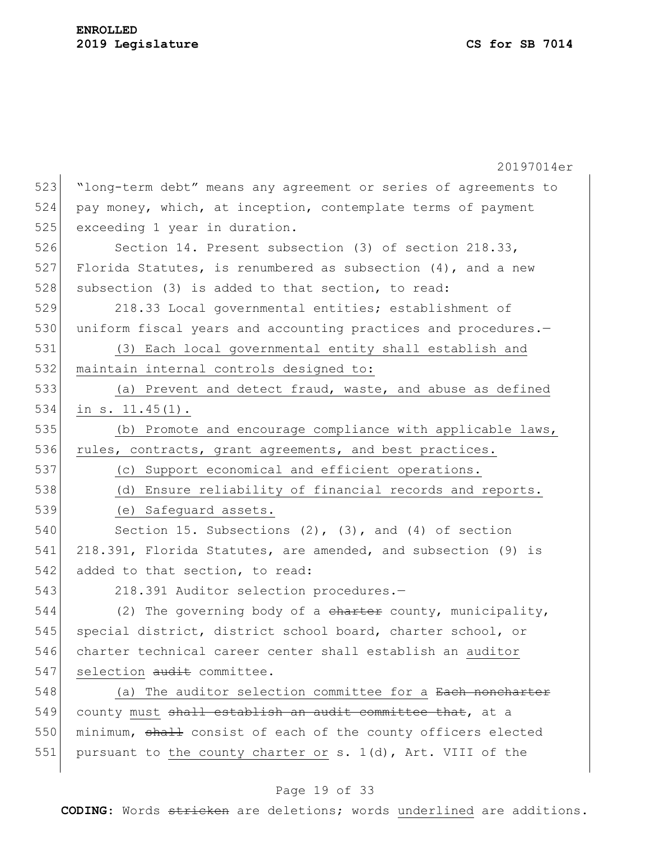|     | 20197014er                                                      |
|-----|-----------------------------------------------------------------|
| 523 | "long-term debt" means any agreement or series of agreements to |
| 524 | pay money, which, at inception, contemplate terms of payment    |
| 525 | exceeding 1 year in duration.                                   |
| 526 | Section 14. Present subsection (3) of section 218.33,           |
| 527 | Florida Statutes, is renumbered as subsection $(4)$ , and a new |
| 528 | subsection (3) is added to that section, to read:               |
| 529 | 218.33 Local governmental entities; establishment of            |
| 530 | uniform fiscal years and accounting practices and procedures.-  |
| 531 | (3) Each local governmental entity shall establish and          |
| 532 | maintain internal controls designed to:                         |
| 533 | (a) Prevent and detect fraud, waste, and abuse as defined       |
| 534 | in $s. 11.45(1)$ .                                              |
| 535 | (b) Promote and encourage compliance with applicable laws,      |
| 536 | rules, contracts, grant agreements, and best practices.         |
| 537 | (c) Support economical and efficient operations.                |
| 538 | (d) Ensure reliability of financial records and reports.        |
| 539 | (e) Safequard assets.                                           |
| 540 | Section 15. Subsections $(2)$ , $(3)$ , and $(4)$ of section    |
| 541 | 218.391, Florida Statutes, are amended, and subsection (9) is   |
| 542 | added to that section, to read:                                 |
| 543 | 218.391 Auditor selection procedures.-                          |
| 544 | (2) The governing body of a charter county, municipality,       |
| 545 | special district, district school board, charter school, or     |
| 546 | charter technical career center shall establish an auditor      |
| 547 | selection audit committee.                                      |
| 548 | (a) The auditor selection committee for a Each noncharter       |
| 549 | county must shall establish an audit committee that, at a       |
| 550 | minimum, shall consist of each of the county officers elected   |
| 551 | pursuant to the county charter or s. 1(d), Art. VIII of the     |

# Page 19 of 33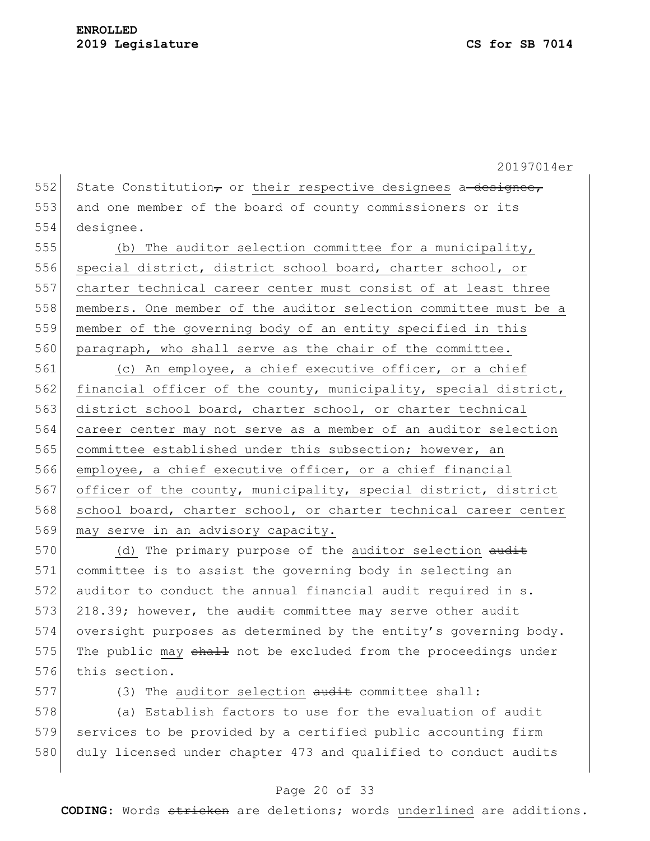552 State Constitution<sub> $\tau$ </sub> or their respective designees a designee, 553 and one member of the board of county commissioners or its 554 designee.

555 (b) The auditor selection committee for a municipality, 556 special district, district school board, charter school, or 557 charter technical career center must consist of at least three 558 members. One member of the auditor selection committee must be a 559 member of the governing body of an entity specified in this 560 paragraph, who shall serve as the chair of the committee.

561 (c) An employee, a chief executive officer, or a chief 562 financial officer of the county, municipality, special district, 563 district school board, charter school, or charter technical 564 career center may not serve as a member of an auditor selection 565 committee established under this subsection; however, an 566 employee, a chief executive officer, or a chief financial 567 officer of the county, municipality, special district, district 568 school board, charter school, or charter technical career center 569 may serve in an advisory capacity.

 $570$  (d) The primary purpose of the auditor selection audit 571 committee is to assist the governing body in selecting an 572 auditor to conduct the annual financial audit required in s. 573 218.39; however, the  $\frac{1}{x}$  committee may serve other audit 574 oversight purposes as determined by the entity's governing body. 575 The public may shall not be excluded from the proceedings under 576 this section.

577 (3) The auditor selection audit committee shall:

578 (a) Establish factors to use for the evaluation of audit 579 services to be provided by a certified public accounting firm 580 duly licensed under chapter 473 and qualified to conduct audits

#### Page 20 of 33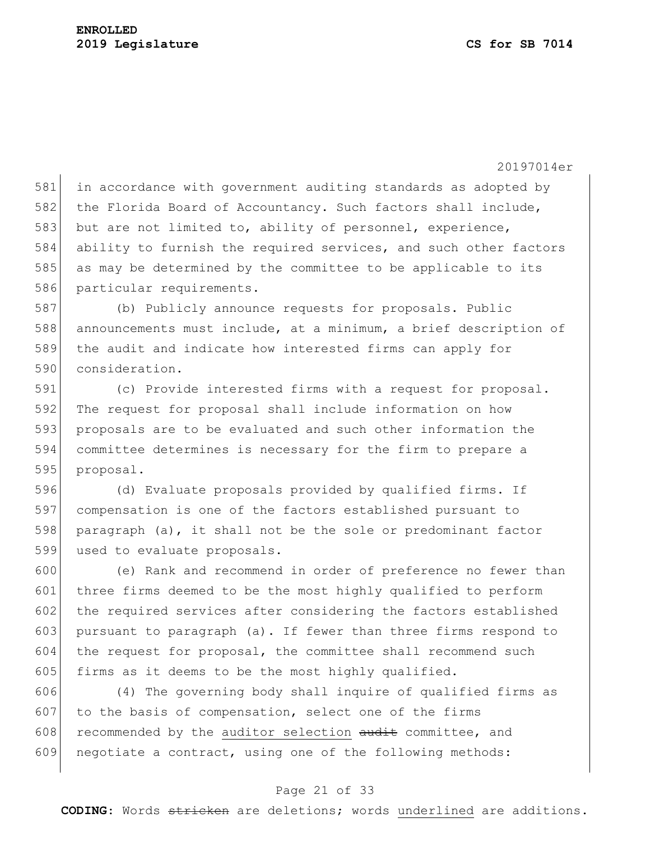581 in accordance with government auditing standards as adopted by 582 the Florida Board of Accountancy. Such factors shall include, 583 but are not limited to, ability of personnel, experience, 584 ability to furnish the required services, and such other factors 585 as may be determined by the committee to be applicable to its 586 particular requirements.

587 (b) Publicly announce requests for proposals. Public 588 announcements must include, at a minimum, a brief description of 589 the audit and indicate how interested firms can apply for 590 consideration.

 (c) Provide interested firms with a request for proposal. 592 The request for proposal shall include information on how proposals are to be evaluated and such other information the committee determines is necessary for the firm to prepare a proposal.

 (d) Evaluate proposals provided by qualified firms. If compensation is one of the factors established pursuant to paragraph (a), it shall not be the sole or predominant factor 599 used to evaluate proposals.

600 (e) Rank and recommend in order of preference no fewer than 601 three firms deemed to be the most highly qualified to perform 602 the required services after considering the factors established 603 pursuant to paragraph (a). If fewer than three firms respond to 604 the request for proposal, the committee shall recommend such 605 firms as it deems to be the most highly qualified.

606 (4) The governing body shall inquire of qualified firms as  $607$  to the basis of compensation, select one of the firms 608 recommended by the auditor selection  $\frac{1}{\text{d}t}$  committee, and 609 negotiate a contract, using one of the following methods:

### Page 21 of 33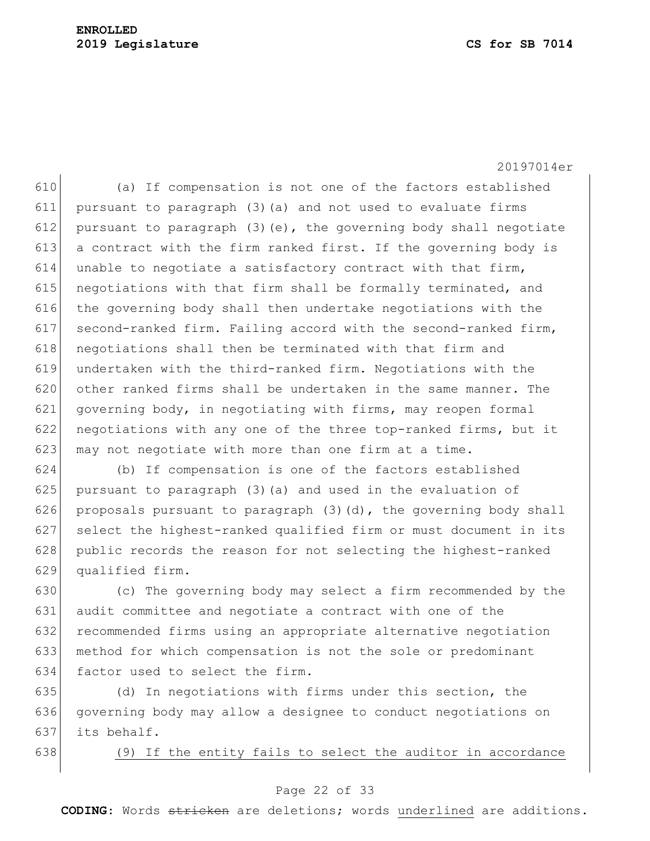610 (a) If compensation is not one of the factors established 611 pursuant to paragraph (3)(a) and not used to evaluate firms 612 pursuant to paragraph (3) (e), the governing body shall negotiate 613 a contract with the firm ranked first. If the governing body is 614 unable to negotiate a satisfactory contract with that firm, 615 negotiations with that firm shall be formally terminated, and  $616$  the governing body shall then undertake negotiations with the 617 second-ranked firm. Failing accord with the second-ranked firm, 618 negotiations shall then be terminated with that firm and 619 undertaken with the third-ranked firm. Negotiations with the 620 other ranked firms shall be undertaken in the same manner. The 621 governing body, in negotiating with firms, may reopen formal 622 negotiations with any one of the three top-ranked firms, but it 623 may not negotiate with more than one firm at a time.

624 (b) If compensation is one of the factors established 625 pursuant to paragraph (3) (a) and used in the evaluation of 626 proposals pursuant to paragraph  $(3)(d)$ , the governing body shall 627 select the highest-ranked qualified firm or must document in its 628 public records the reason for not selecting the highest-ranked 629 qualified firm.

 (c) The governing body may select a firm recommended by the audit committee and negotiate a contract with one of the recommended firms using an appropriate alternative negotiation method for which compensation is not the sole or predominant factor used to select the firm.

635 (d) In negotiations with firms under this section, the 636 governing body may allow a designee to conduct negotiations on 637 its behalf.

638 (9) If the entity fails to select the auditor in accordance

#### Page 22 of 33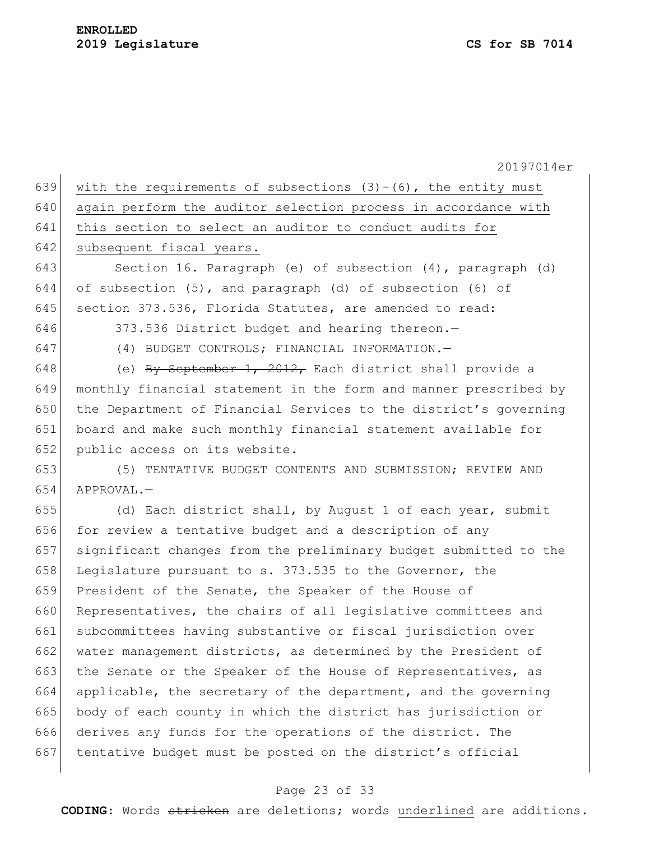| 639 | with the requirements of subsections $(3)-(6)$ , the entity must |
|-----|------------------------------------------------------------------|
| 640 | again perform the auditor selection process in accordance with   |
| 641 | this section to select an auditor to conduct audits for          |
| 642 | subsequent fiscal years.                                         |
| 643 | Section 16. Paragraph (e) of subsection (4), paragraph (d)       |
| 644 | of subsection (5), and paragraph (d) of subsection (6) of        |
| 645 | section 373.536, Florida Statutes, are amended to read:          |
| 646 | 373.536 District budget and hearing thereon.-                    |
| 647 | (4) BUDGET CONTROLS; FINANCIAL INFORMATION.-                     |
| 648 | (e) By September 1, $2012$ , Each district shall provide a       |
| 649 | monthly financial statement in the form and manner prescribed by |
| 650 | the Department of Financial Services to the district's governing |
| 651 | board and make such monthly financial statement available for    |
| 652 | public access on its website.                                    |
| 653 | (5) TENTATIVE BUDGET CONTENTS AND SUBMISSION; REVIEW AND         |
| 654 | APPROVAL.-                                                       |
| 655 | (d) Each district shall, by August 1 of each year, submit        |
| 656 | for review a tentative budget and a description of any           |
| 657 | significant changes from the preliminary budget submitted to the |
| 658 | Legislature pursuant to s. 373.535 to the Governor, the          |
| 659 | President of the Senate, the Speaker of the House of             |
| 660 | Representatives, the chairs of all legislative committees and    |
| 661 | subcommittees having substantive or fiscal jurisdiction over     |
| 662 | water management districts, as determined by the President of    |
| 663 | the Senate or the Speaker of the House of Representatives, as    |
| 664 | applicable, the secretary of the department, and the governing   |
| 665 | body of each county in which the district has jurisdiction or    |
| 666 | derives any funds for the operations of the district. The        |
| 667 | tentative budget must be posted on the district's official       |

# Page 23 of 33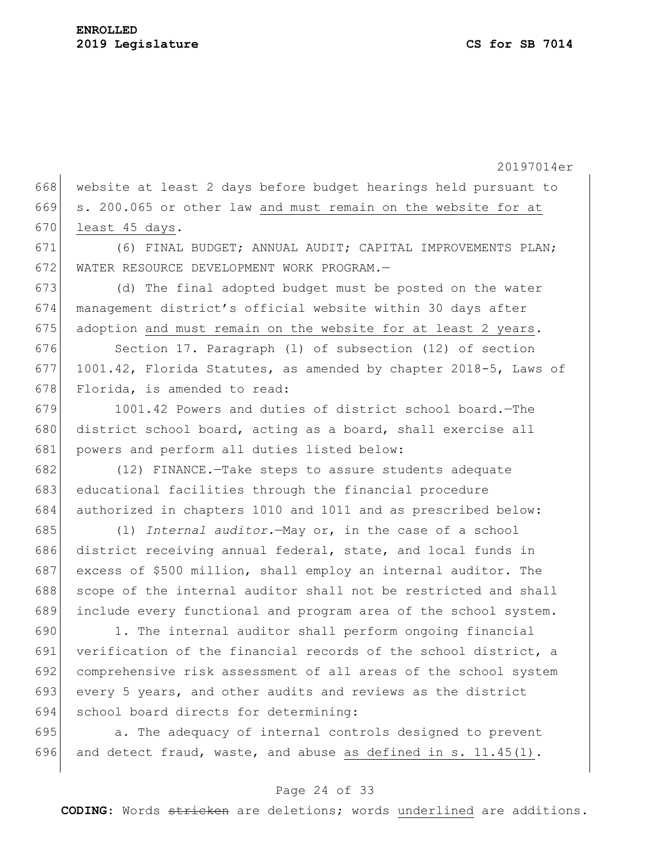668 website at least 2 days before budget hearings held pursuant to 669 s. 200.065 or other law and must remain on the website for at 670 least 45 days.

671 (6) FINAL BUDGET; ANNUAL AUDIT; CAPITAL IMPROVEMENTS PLAN; 672 WATER RESOURCE DEVELOPMENT WORK PROGRAM.—

673 (d) The final adopted budget must be posted on the water 674 management district's official website within 30 days after  $675$  adoption and must remain on the website for at least 2 years.

676 Section 17. Paragraph (l) of subsection (12) of section 677 1001.42, Florida Statutes, as amended by chapter 2018-5, Laws of 678 Florida, is amended to read:

679 1001.42 Powers and duties of district school board. - The 680 district school board, acting as a board, shall exercise all 681 powers and perform all duties listed below:

682 (12) FINANCE.—Take steps to assure students adequate 683 educational facilities through the financial procedure 684 authorized in chapters 1010 and 1011 and as prescribed below:

 (l) *Internal auditor.*—May or, in the case of a school district receiving annual federal, state, and local funds in excess of \$500 million, shall employ an internal auditor. The 688 scope of the internal auditor shall not be restricted and shall include every functional and program area of the school system.

690 1. The internal auditor shall perform ongoing financial 691 verification of the financial records of the school district, a 692 comprehensive risk assessment of all areas of the school system 693 every 5 years, and other audits and reviews as the district 694 school board directs for determining:

695 **a.** The adequacy of internal controls designed to prevent 696 and detect fraud, waste, and abuse as defined in s.  $11.45(1)$ .

### Page 24 of 33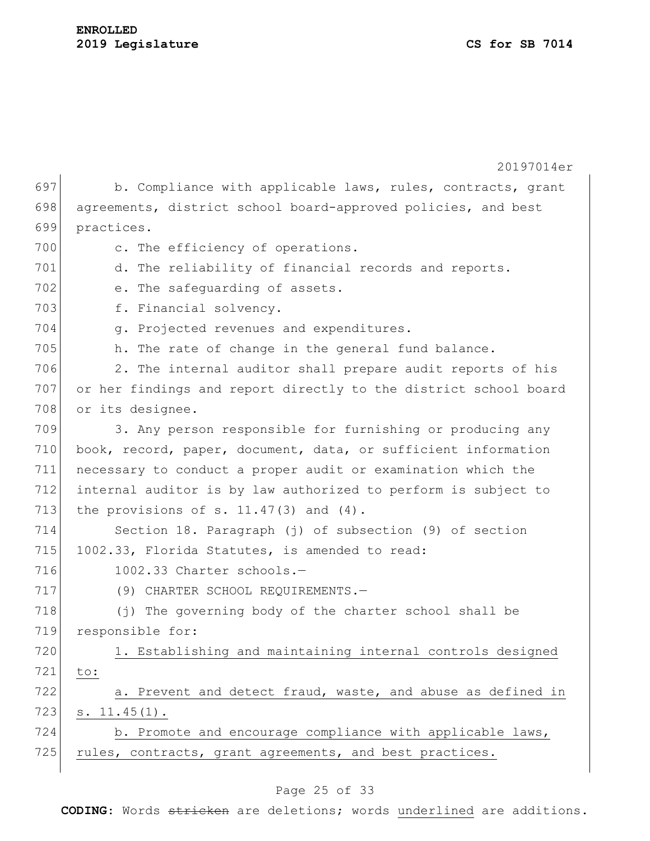## **ENROLLED 2019 Legislature CS for SB 7014**

|     | 20197014er                                                       |
|-----|------------------------------------------------------------------|
| 697 | b. Compliance with applicable laws, rules, contracts, grant      |
| 698 | agreements, district school board-approved policies, and best    |
| 699 | practices.                                                       |
| 700 | c. The efficiency of operations.                                 |
| 701 | d. The reliability of financial records and reports.             |
| 702 | e. The safequarding of assets.                                   |
| 703 | f. Financial solvency.                                           |
| 704 | g. Projected revenues and expenditures.                          |
| 705 | h. The rate of change in the general fund balance.               |
| 706 | 2. The internal auditor shall prepare audit reports of his       |
| 707 | or her findings and report directly to the district school board |
| 708 | or its designee.                                                 |
| 709 | 3. Any person responsible for furnishing or producing any        |
| 710 | book, record, paper, document, data, or sufficient information   |
| 711 | necessary to conduct a proper audit or examination which the     |
| 712 | internal auditor is by law authorized to perform is subject to   |
| 713 | the provisions of s. $11.47(3)$ and $(4)$ .                      |
| 714 | Section 18. Paragraph (j) of subsection (9) of section           |
| 715 | 1002.33, Florida Statutes, is amended to read:                   |
| 716 | 1002.33 Charter schools.-                                        |
| 717 | (9) CHARTER SCHOOL REQUIREMENTS.-                                |
| 718 | (j) The governing body of the charter school shall be            |
| 719 | responsible for:                                                 |
| 720 | 1. Establishing and maintaining internal controls designed       |
| 721 | to:                                                              |
| 722 | a. Prevent and detect fraud, waste, and abuse as defined in      |
| 723 | $s. 11.45(1)$ .                                                  |
| 724 | b. Promote and encourage compliance with applicable laws,        |
| 725 | rules, contracts, grant agreements, and best practices.          |
|     |                                                                  |

# Page 25 of 33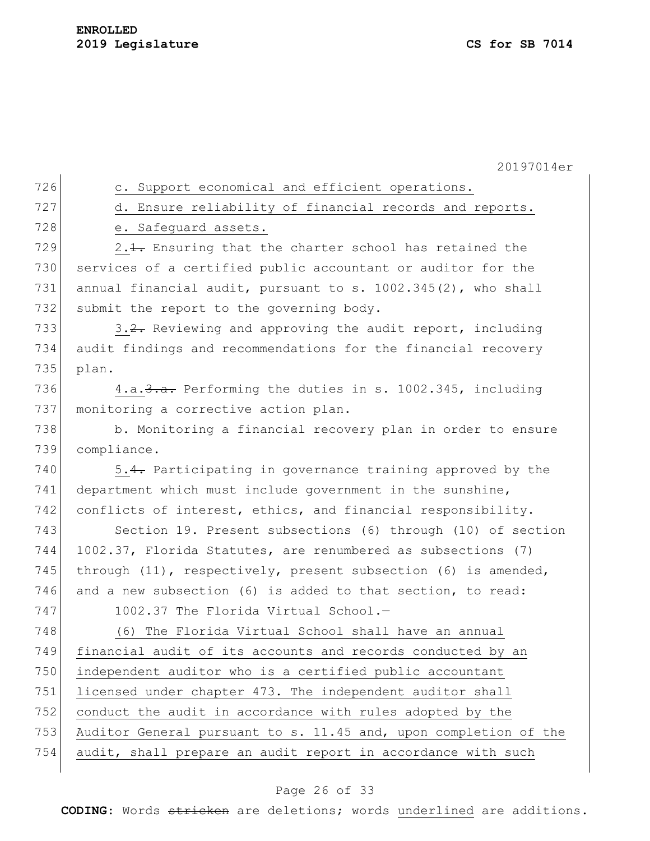| 726 | c. Support economical and efficient operations.                  |
|-----|------------------------------------------------------------------|
| 727 | d. Ensure reliability of financial records and reports.          |
| 728 | e. Safeguard assets.                                             |
| 729 | 2.1. Ensuring that the charter school has retained the           |
| 730 | services of a certified public accountant or auditor for the     |
| 731 | annual financial audit, pursuant to s. 1002.345(2), who shall    |
| 732 | submit the report to the governing body.                         |
| 733 | 3.2. Reviewing and approving the audit report, including         |
| 734 | audit findings and recommendations for the financial recovery    |
| 735 | plan.                                                            |
| 736 | 4.a. 3. a. Performing the duties in s. 1002.345, including       |
| 737 | monitoring a corrective action plan.                             |
| 738 | b. Monitoring a financial recovery plan in order to ensure       |
| 739 | compliance.                                                      |
| 740 | 5.4. Participating in governance training approved by the        |
| 741 | department which must include government in the sunshine,        |
| 742 | conflicts of interest, ethics, and financial responsibility.     |
| 743 | Section 19. Present subsections (6) through (10) of section      |
| 744 | 1002.37, Florida Statutes, are renumbered as subsections (7)     |
| 745 | through (11), respectively, present subsection (6) is amended,   |
| 746 | and a new subsection (6) is added to that section, to read:      |
| 747 | 1002.37 The Florida Virtual School.-                             |
| 748 | (6) The Florida Virtual School shall have an annual              |
| 749 | financial audit of its accounts and records conducted by an      |
| 750 | independent auditor who is a certified public accountant         |
| 751 | licensed under chapter 473. The independent auditor shall        |
| 752 | conduct the audit in accordance with rules adopted by the        |
| 753 | Auditor General pursuant to s. 11.45 and, upon completion of the |
| 754 | audit, shall prepare an audit report in accordance with such     |
|     |                                                                  |

# Page 26 of 33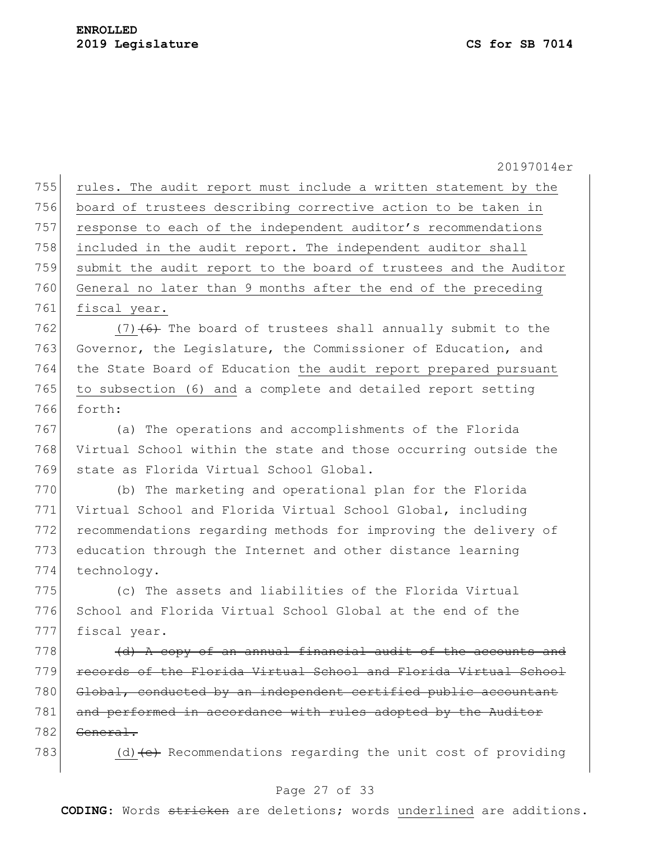|     | 20197014er                                                                  |
|-----|-----------------------------------------------------------------------------|
| 755 | rules. The audit report must include a written statement by the             |
| 756 | board of trustees describing corrective action to be taken in               |
| 757 | response to each of the independent auditor's recommendations               |
| 758 | included in the audit report. The independent auditor shall                 |
| 759 | submit the audit report to the board of trustees and the Auditor            |
| 760 | General no later than 9 months after the end of the preceding               |
| 761 | fiscal year.                                                                |
| 762 | $(7)$ $(6)$ The board of trustees shall annually submit to the              |
| 763 | Governor, the Legislature, the Commissioner of Education, and               |
| 764 | the State Board of Education the audit report prepared pursuant             |
| 765 | to subsection (6) and a complete and detailed report setting                |
| 766 | forth:                                                                      |
| 767 | (a) The operations and accomplishments of the Florida                       |
| 768 | Virtual School within the state and those occurring outside the             |
| 769 | state as Florida Virtual School Global.                                     |
| 770 | (b) The marketing and operational plan for the Florida                      |
| 771 | Virtual School and Florida Virtual School Global, including                 |
| 772 | recommendations regarding methods for improving the delivery of             |
| 773 | education through the Internet and other distance learning                  |
| 774 | technology.                                                                 |
| 775 | (c) The assets and liabilities of the Florida Virtual                       |
| 776 | School and Florida Virtual School Global at the end of the                  |
| 777 | fiscal year.                                                                |
| 778 | (d) A copy of an annual financial audit of the accounts and                 |
| 779 | records of the Florida Virtual School and Florida Virtual School            |
| 780 | Global, conducted by an independent certified public accountant             |
| 781 | and performed in accordance with rules adopted by the Auditor               |
| 782 | General.                                                                    |
| 783 | (d) $\left( e \right)$ Recommendations regarding the unit cost of providing |

# Page 27 of 33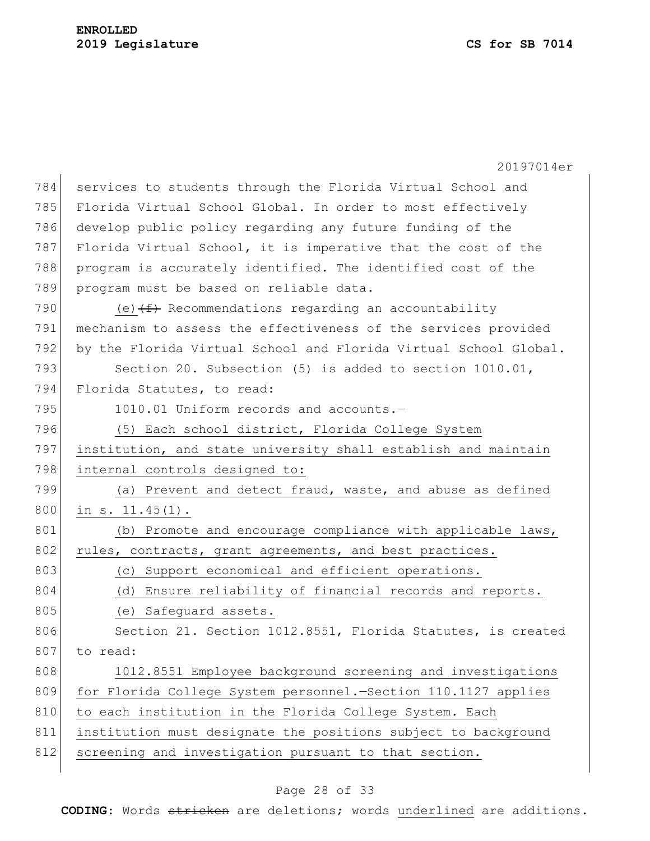|     | 20197014er                                                       |
|-----|------------------------------------------------------------------|
| 784 | services to students through the Florida Virtual School and      |
| 785 | Florida Virtual School Global. In order to most effectively      |
| 786 | develop public policy regarding any future funding of the        |
| 787 | Florida Virtual School, it is imperative that the cost of the    |
| 788 | program is accurately identified. The identified cost of the     |
| 789 | program must be based on reliable data.                          |
| 790 | (e) $(f)$ Recommendations regarding an accountability            |
| 791 | mechanism to assess the effectiveness of the services provided   |
| 792 | by the Florida Virtual School and Florida Virtual School Global. |
| 793 | Section 20. Subsection (5) is added to section 1010.01,          |
| 794 | Florida Statutes, to read:                                       |
| 795 | 1010.01 Uniform records and accounts.-                           |
| 796 | (5) Each school district, Florida College System                 |
| 797 | institution, and state university shall establish and maintain   |
| 798 | internal controls designed to:                                   |
| 799 | (a) Prevent and detect fraud, waste, and abuse as defined        |
| 800 | in $s. 11.45(1)$ .                                               |
| 801 | (b) Promote and encourage compliance with applicable laws,       |
| 802 | rules, contracts, grant agreements, and best practices.          |
| 803 | (c) Support economical and efficient operations.                 |
| 804 | (d) Ensure reliability of financial records and reports.         |
| 805 | (e) Safeguard assets.                                            |
| 806 | Section 21. Section 1012.8551, Florida Statutes, is created      |
| 807 | to read:                                                         |
| 808 | 1012.8551 Employee background screening and investigations       |
| 809 | for Florida College System personnel.-Section 110.1127 applies   |
| 810 | to each institution in the Florida College System. Each          |
| 811 | institution must designate the positions subject to background   |
| 812 | screening and investigation pursuant to that section.            |

# Page 28 of 33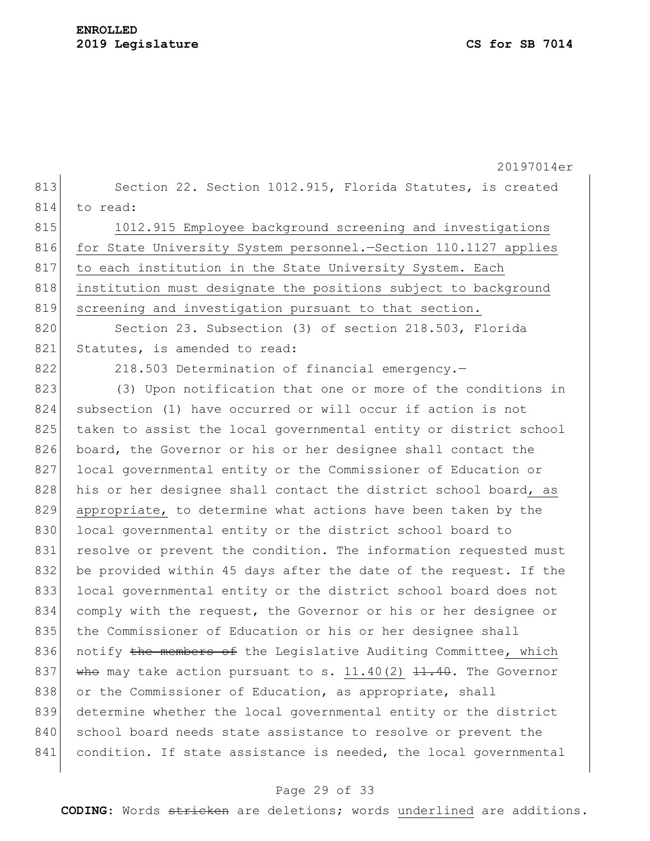20197014er 813 Section 22. Section 1012.915, Florida Statutes, is created 814 to read: 815 1012.915 Employee background screening and investigations 816 for State University System personnel.—Section 110.1127 applies 817 to each institution in the State University System. Each 818 institution must designate the positions subject to background 819 screening and investigation pursuant to that section. 820 Section 23. Subsection (3) of section 218.503, Florida 821 Statutes, is amended to read: 822 218.503 Determination of financial emergency.-823 (3) Upon notification that one or more of the conditions in 824 subsection (1) have occurred or will occur if action is not 825 taken to assist the local governmental entity or district school 826 board, the Governor or his or her designee shall contact the 827 local governmental entity or the Commissioner of Education or 828 his or her designee shall contact the district school board, as 829 appropriate, to determine what actions have been taken by the 830 local governmental entity or the district school board to 831 resolve or prevent the condition. The information requested must 832 be provided within 45 days after the date of the request. If the 833 local governmental entity or the district school board does not 834 comply with the request, the Governor or his or her designee or 835 the Commissioner of Education or his or her designee shall 836 notify the members of the Legislative Auditing Committee, which 837 who may take action pursuant to s. 11.40(2)  $11.40$ . The Governor 838 or the Commissioner of Education, as appropriate, shall 839 determine whether the local governmental entity or the district 840 school board needs state assistance to resolve or prevent the 841 condition. If state assistance is needed, the local governmental

#### Page 29 of 33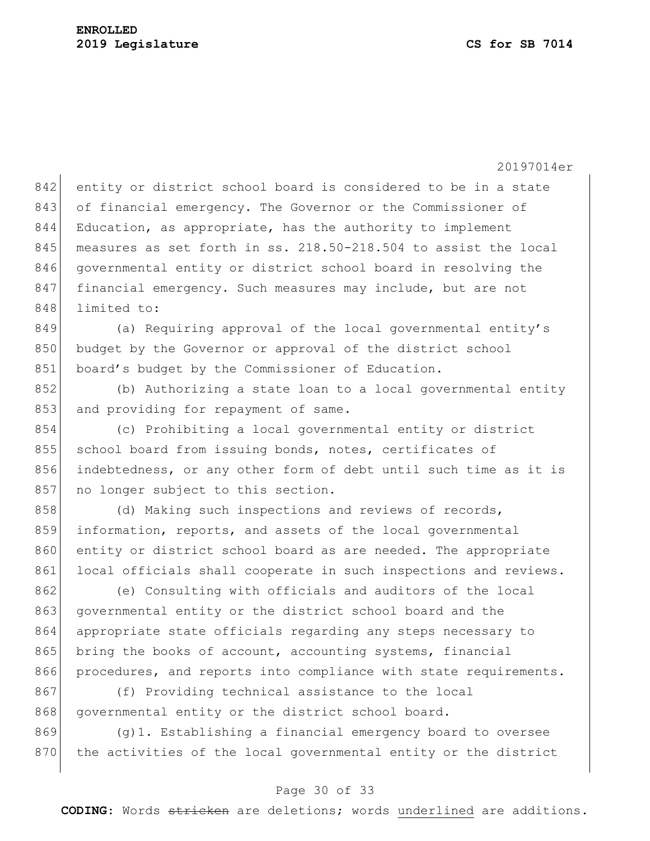842 entity or district school board is considered to be in a state 843 of financial emergency. The Governor or the Commissioner of 844 Education, as appropriate, has the authority to implement 845 measures as set forth in ss. 218.50-218.504 to assist the local 846 governmental entity or district school board in resolving the 847 financial emergency. Such measures may include, but are not 848 limited to:

 $849$  (a) Requiring approval of the local governmental entity's 850 budget by the Governor or approval of the district school 851 board's budget by the Commissioner of Education.

852 (b) Authorizing a state loan to a local governmental entity 853 and providing for repayment of same.

854 (c) Prohibiting a local governmental entity or district 855 school board from issuing bonds, notes, certificates of 856 indebtedness, or any other form of debt until such time as it is 857 no longer subject to this section.

858 (d) Making such inspections and reviews of records, 859 information, reports, and assets of the local governmental 860 entity or district school board as are needed. The appropriate 861 local officials shall cooperate in such inspections and reviews.

862 (e) Consulting with officials and auditors of the local 863 governmental entity or the district school board and the 864 appropriate state officials regarding any steps necessary to 865 bring the books of account, accounting systems, financial 866 procedures, and reports into compliance with state requirements.

867 (f) Providing technical assistance to the local 868 governmental entity or the district school board.

869 (g)1. Establishing a financial emergency board to oversee 870 the activities of the local governmental entity or the district

### Page 30 of 33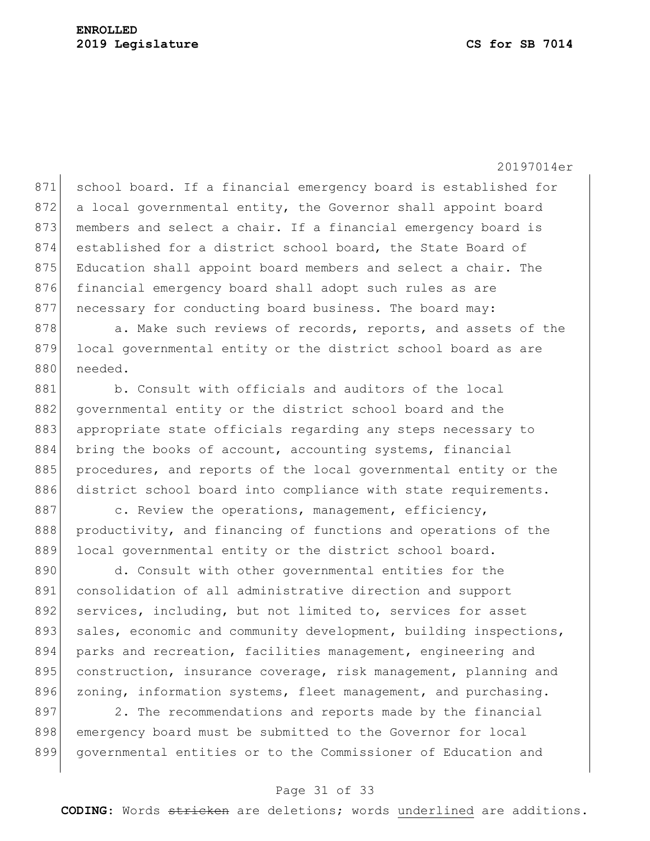871 school board. If a financial emergency board is established for 872 a local governmental entity, the Governor shall appoint board 873 members and select a chair. If a financial emergency board is 874 established for a district school board, the State Board of 875 Education shall appoint board members and select a chair. The 876 financial emergency board shall adopt such rules as are 877 necessary for conducting board business. The board may:

878 a. Make such reviews of records, reports, and assets of the 879 local governmental entity or the district school board as are 880 needed.

881 b. Consult with officials and auditors of the local 882 governmental entity or the district school board and the 883 appropriate state officials regarding any steps necessary to 884 bring the books of account, accounting systems, financial 885 procedures, and reports of the local governmental entity or the 886 district school board into compliance with state requirements.

 $887$  c. Review the operations, management, efficiency, 888 productivity, and financing of functions and operations of the 889 local governmental entity or the district school board.

890 d. Consult with other governmental entities for the 891 consolidation of all administrative direction and support 892 services, including, but not limited to, services for asset 893 sales, economic and community development, building inspections, 894 parks and recreation, facilities management, engineering and 895 construction, insurance coverage, risk management, planning and 896 zoning, information systems, fleet management, and purchasing.

897 2. The recommendations and reports made by the financial 898 emergency board must be submitted to the Governor for local 899 governmental entities or to the Commissioner of Education and

#### Page 31 of 33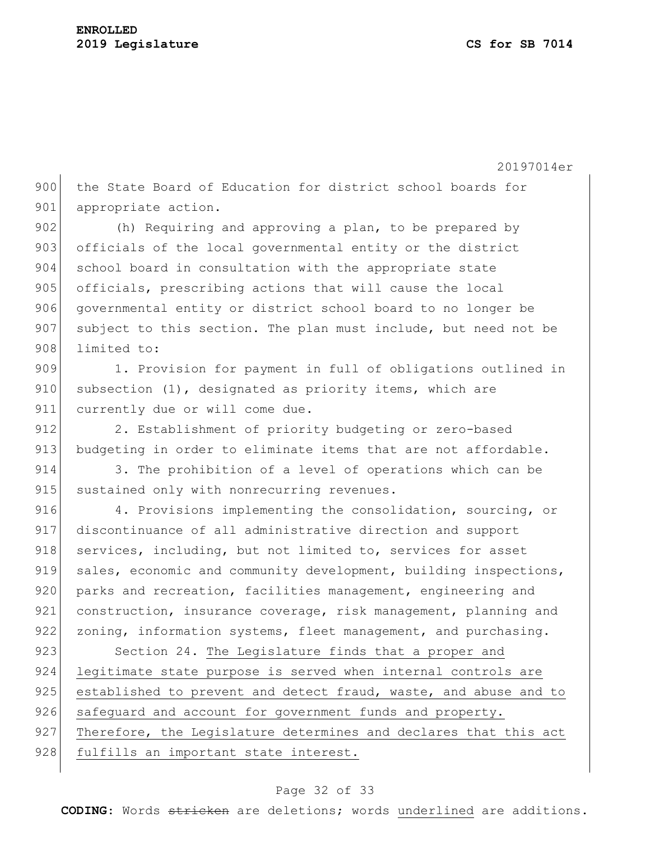900 the State Board of Education for district school boards for 901 appropriate action.

902 (h) Requiring and approving a plan, to be prepared by 903 officials of the local governmental entity or the district 904 school board in consultation with the appropriate state 905 officials, prescribing actions that will cause the local 906 governmental entity or district school board to no longer be  $907$  subject to this section. The plan must include, but need not be 908 limited to:

909 1. Provision for payment in full of obligations outlined in  $910$  subsection  $(1)$ , designated as priority items, which are 911 currently due or will come due.

912 2. Establishment of priority budgeting or zero-based 913 budgeting in order to eliminate items that are not affordable.

914 3. The prohibition of a level of operations which can be 915 sustained only with nonrecurring revenues.

916 4. Provisions implementing the consolidation, sourcing, or 917 discontinuance of all administrative direction and support 918 services, including, but not limited to, services for asset 919 sales, economic and community development, building inspections, 920 parks and recreation, facilities management, engineering and 921 construction, insurance coverage, risk management, planning and 922 zoning, information systems, fleet management, and purchasing.

923 Section 24. The Legislature finds that a proper and 924 legitimate state purpose is served when internal controls are 925 established to prevent and detect fraud, waste, and abuse and to 926 safeguard and account for government funds and property. 927 Therefore, the Legislature determines and declares that this act 928 fulfills an important state interest.

#### Page 32 of 33